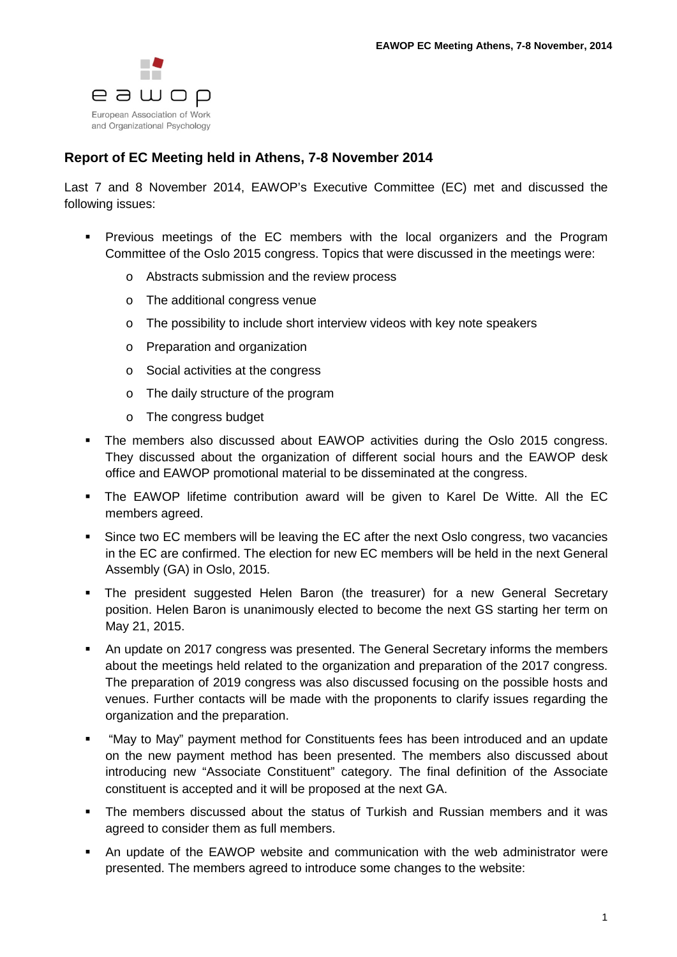

## **Report of EC Meeting held in Athens, 7-8 November 2014**

Last 7 and 8 November 2014, EAWOP's Executive Committee (EC) met and discussed the following issues:

- **Previous meetings of the EC members with the local organizers and the Program** Committee of the Oslo 2015 congress. Topics that were discussed in the meetings were:
	- o Abstracts submission and the review process
	- o The additional congress venue
	- o The possibility to include short interview videos with key note speakers
	- o Preparation and organization
	- o Social activities at the congress
	- o The daily structure of the program
	- o The congress budget
- The members also discussed about EAWOP activities during the Oslo 2015 congress. They discussed about the organization of different social hours and the EAWOP desk office and EAWOP promotional material to be disseminated at the congress.
- The EAWOP lifetime contribution award will be given to Karel De Witte. All the EC members agreed.
- Since two EC members will be leaving the EC after the next Oslo congress, two vacancies in the EC are confirmed. The election for new EC members will be held in the next General Assembly (GA) in Oslo, 2015.
- The president suggested Helen Baron (the treasurer) for a new General Secretary position. Helen Baron is unanimously elected to become the next GS starting her term on May 21, 2015.
- An update on 2017 congress was presented. The General Secretary informs the members about the meetings held related to the organization and preparation of the 2017 congress. The preparation of 2019 congress was also discussed focusing on the possible hosts and venues. Further contacts will be made with the proponents to clarify issues regarding the organization and the preparation.
- "May to May" payment method for Constituents fees has been introduced and an update on the new payment method has been presented. The members also discussed about introducing new "Associate Constituent" category. The final definition of the Associate constituent is accepted and it will be proposed at the next GA.
- The members discussed about the status of Turkish and Russian members and it was agreed to consider them as full members.
- An update of the EAWOP website and communication with the web administrator were presented. The members agreed to introduce some changes to the website: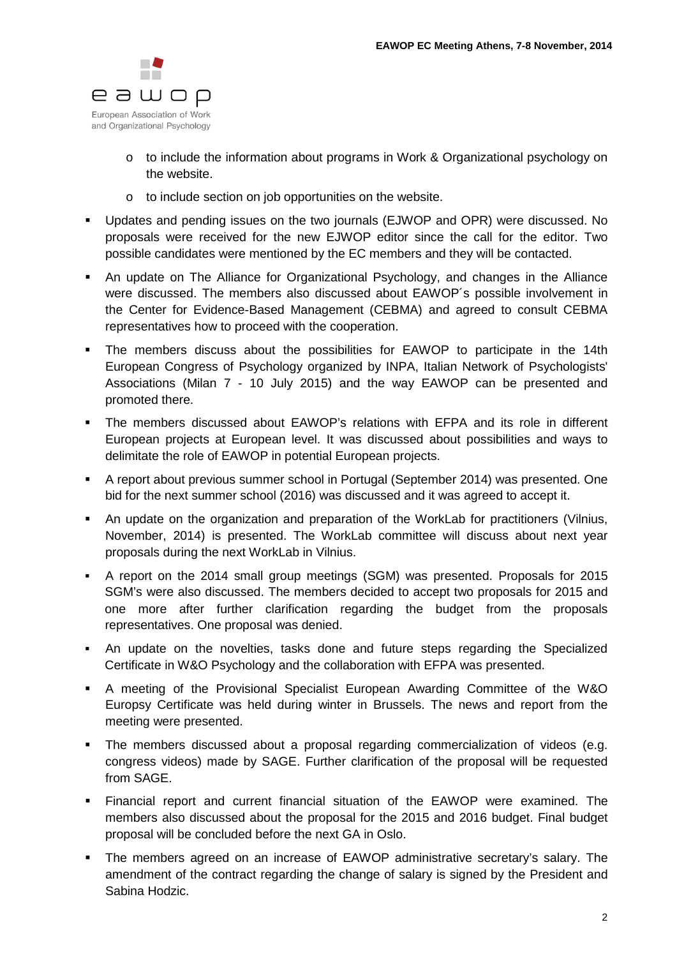

- o to include the information about programs in Work & Organizational psychology on the website.
- o to include section on job opportunities on the website.
- Updates and pending issues on the two journals (EJWOP and OPR) were discussed. No proposals were received for the new EJWOP editor since the call for the editor. Two possible candidates were mentioned by the EC members and they will be contacted.
- An update on The Alliance for Organizational Psychology, and changes in the Alliance were discussed. The members also discussed about EAWOP´s possible involvement in the Center for Evidence-Based Management (CEBMA) and agreed to consult CEBMA representatives how to proceed with the cooperation.
- The members discuss about the possibilities for EAWOP to participate in the 14th European Congress of Psychology organized by INPA, Italian Network of Psychologists' Associations (Milan 7 - 10 July 2015) and the way EAWOP can be presented and promoted there.
- The members discussed about EAWOP's relations with EFPA and its role in different European projects at European level. It was discussed about possibilities and ways to delimitate the role of EAWOP in potential European projects.
- A report about previous summer school in Portugal (September 2014) was presented. One bid for the next summer school (2016) was discussed and it was agreed to accept it.
- An update on the organization and preparation of the WorkLab for practitioners (Vilnius, November, 2014) is presented. The WorkLab committee will discuss about next year proposals during the next WorkLab in Vilnius.
- A report on the 2014 small group meetings (SGM) was presented. Proposals for 2015 SGM's were also discussed. The members decided to accept two proposals for 2015 and one more after further clarification regarding the budget from the proposals representatives. One proposal was denied.
- An update on the novelties, tasks done and future steps regarding the Specialized Certificate in W&O Psychology and the collaboration with EFPA was presented.
- A meeting of the Provisional Specialist European Awarding Committee of the W&O Europsy Certificate was held during winter in Brussels. The news and report from the meeting were presented.
- The members discussed about a proposal regarding commercialization of videos (e.g. congress videos) made by SAGE. Further clarification of the proposal will be requested from SAGE.
- Financial report and current financial situation of the EAWOP were examined. The members also discussed about the proposal for the 2015 and 2016 budget. Final budget proposal will be concluded before the next GA in Oslo.
- The members agreed on an increase of EAWOP administrative secretary's salary. The amendment of the contract regarding the change of salary is signed by the President and Sabina Hodzic.